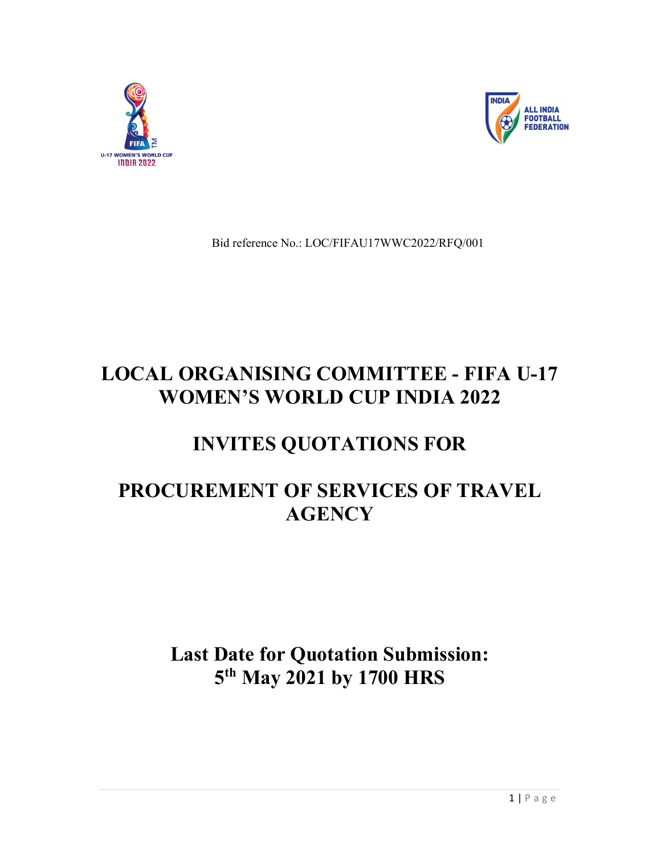



Bid reference No.: LOC/FIFAU17WWC2022/RFQ/001

# LOCAL ORGANISING COMMITTEE - FIFA U-17 WOMEN'S WORLD CUP INDIA 2022

# INVITES QUOTATIONS FOR

# PROCUREMENT OF SERVICES OF TRAVEL **AGENCY**

# Last Date for Quotation Submission: 5<sup>th</sup> May 2021 by 1700 HRS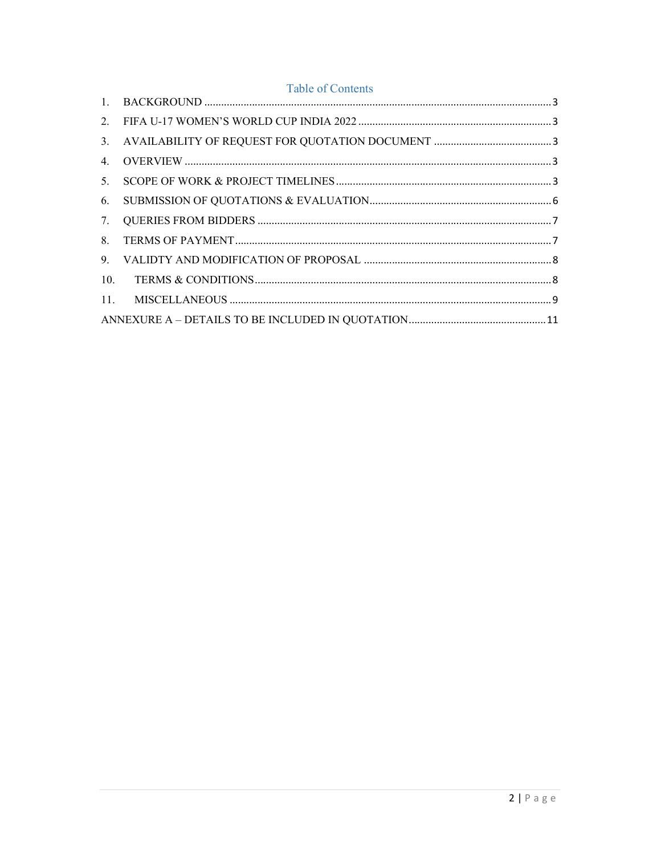# Table of Contents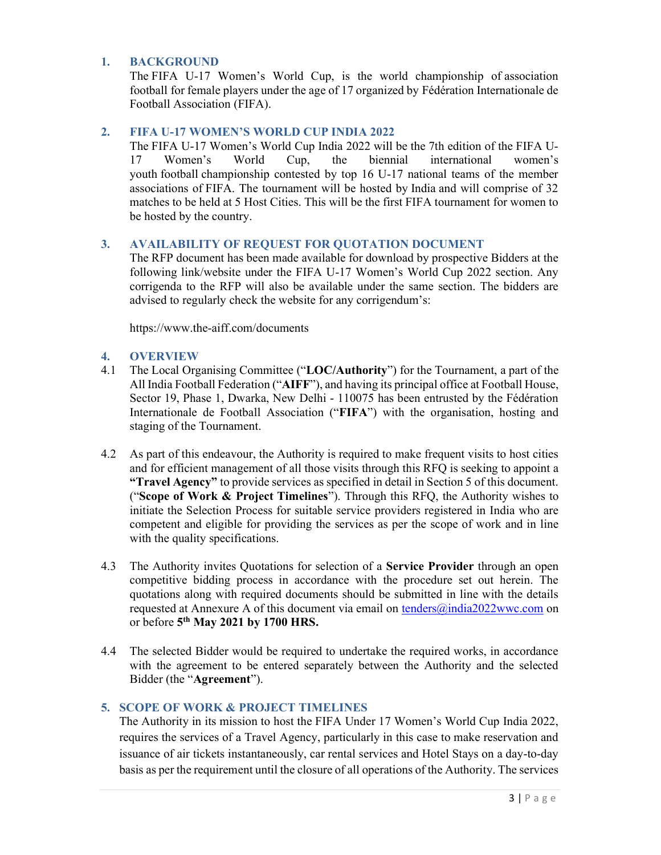### 1. BACKGROUND

The FIFA U-17 Women's World Cup, is the world championship of association football for female players under the age of 17 organized by Fédération Internationale de Football Association (FIFA).

## 2. FIFA U-17 WOMEN'S WORLD CUP INDIA 2022

The FIFA U-17 Women's World Cup India 2022 will be the 7th edition of the FIFA U-17 Women's World Cup, the biennial international women's youth football championship contested by top 16 U-17 national teams of the member associations of FIFA. The tournament will be hosted by India and will comprise of 32 matches to be held at 5 Host Cities. This will be the first FIFA tournament for women to be hosted by the country.

### 3. AVAILABILITY OF REQUEST FOR QUOTATION DOCUMENT

The RFP document has been made available for download by prospective Bidders at the following link/website under the FIFA U-17 Women's World Cup 2022 section. Any corrigenda to the RFP will also be available under the same section. The bidders are advised to regularly check the website for any corrigendum's:

https://www.the-aiff.com/documents

### 4. OVERVIEW

- 4.1 The Local Organising Committee ("LOC/Authority") for the Tournament, a part of the All India Football Federation ("AIFF"), and having its principal office at Football House, Sector 19, Phase 1, Dwarka, New Delhi - 110075 has been entrusted by the Fédération Internationale de Football Association ("FIFA") with the organisation, hosting and staging of the Tournament.
- 4.2 As part of this endeavour, the Authority is required to make frequent visits to host cities and for efficient management of all those visits through this RFQ is seeking to appoint a "Travel Agency" to provide services as specified in detail in Section 5 of this document. ("Scope of Work & Project Timelines"). Through this RFQ, the Authority wishes to initiate the Selection Process for suitable service providers registered in India who are competent and eligible for providing the services as per the scope of work and in line with the quality specifications.
- 4.3 The Authority invites Quotations for selection of a **Service Provider** through an open competitive bidding process in accordance with the procedure set out herein. The quotations along with required documents should be submitted in line with the details requested at Annexure A of this document via email on tenders@india2022wwc.com on or before  $5<sup>th</sup>$  May 2021 by 1700 HRS.
- 4.4 The selected Bidder would be required to undertake the required works, in accordance with the agreement to be entered separately between the Authority and the selected Bidder (the "Agreement").

## 5. SCOPE OF WORK & PROJECT TIMELINES

The Authority in its mission to host the FIFA Under 17 Women's World Cup India 2022, requires the services of a Travel Agency, particularly in this case to make reservation and issuance of air tickets instantaneously, car rental services and Hotel Stays on a day-to-day basis as per the requirement until the closure of all operations of the Authority. The services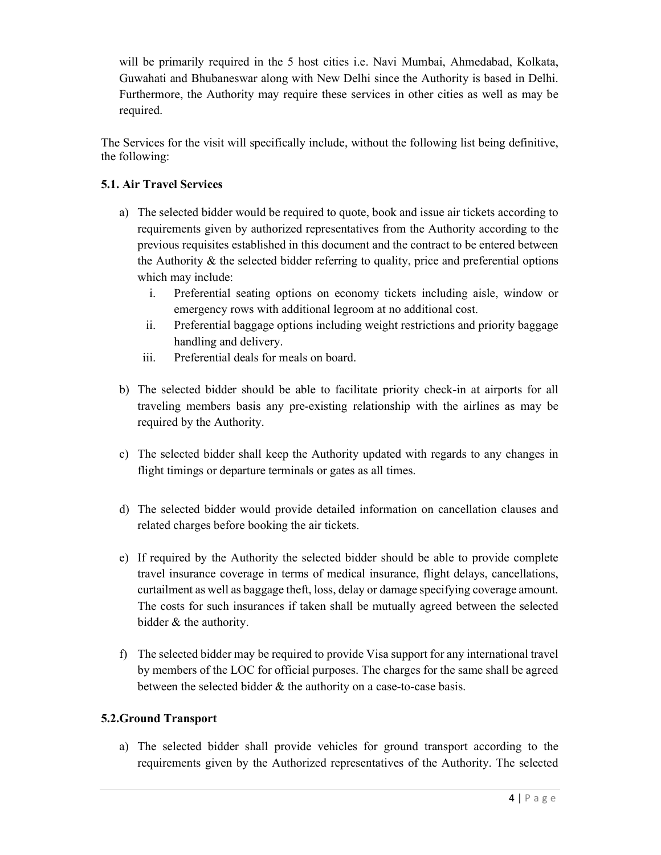will be primarily required in the 5 host cities i.e. Navi Mumbai, Ahmedabad, Kolkata, Guwahati and Bhubaneswar along with New Delhi since the Authority is based in Delhi. Furthermore, the Authority may require these services in other cities as well as may be required.

The Services for the visit will specifically include, without the following list being definitive, the following:

# 5.1. Air Travel Services

- a) The selected bidder would be required to quote, book and issue air tickets according to requirements given by authorized representatives from the Authority according to the previous requisites established in this document and the contract to be entered between the Authority & the selected bidder referring to quality, price and preferential options which may include:
	- i. Preferential seating options on economy tickets including aisle, window or emergency rows with additional legroom at no additional cost.
	- ii. Preferential baggage options including weight restrictions and priority baggage handling and delivery.
	- iii. Preferential deals for meals on board.
- b) The selected bidder should be able to facilitate priority check-in at airports for all traveling members basis any pre-existing relationship with the airlines as may be required by the Authority.
- c) The selected bidder shall keep the Authority updated with regards to any changes in flight timings or departure terminals or gates as all times.
- d) The selected bidder would provide detailed information on cancellation clauses and related charges before booking the air tickets.
- e) If required by the Authority the selected bidder should be able to provide complete travel insurance coverage in terms of medical insurance, flight delays, cancellations, curtailment as well as baggage theft, loss, delay or damage specifying coverage amount. The costs for such insurances if taken shall be mutually agreed between the selected bidder & the authority.
- f) The selected bidder may be required to provide Visa support for any international travel by members of the LOC for official purposes. The charges for the same shall be agreed between the selected bidder & the authority on a case-to-case basis.

## 5.2.Ground Transport

a) The selected bidder shall provide vehicles for ground transport according to the requirements given by the Authorized representatives of the Authority. The selected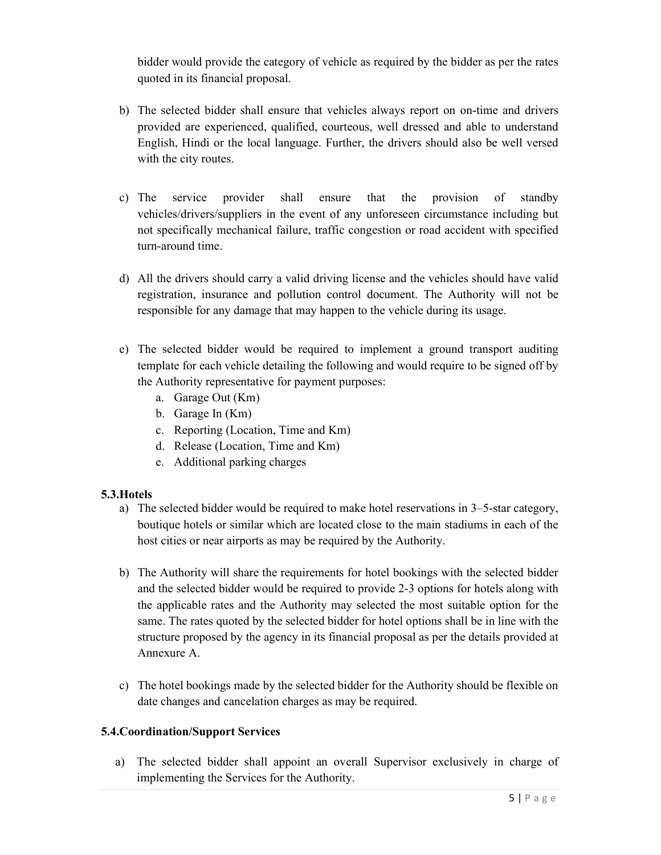bidder would provide the category of vehicle as required by the bidder as per the rates quoted in its financial proposal.

- b) The selected bidder shall ensure that vehicles always report on on-time and drivers provided are experienced, qualified, courteous, well dressed and able to understand English, Hindi or the local language. Further, the drivers should also be well versed with the city routes.
- c) The service provider shall ensure that the provision of standby vehicles/drivers/suppliers in the event of any unforeseen circumstance including but not specifically mechanical failure, traffic congestion or road accident with specified turn-around time.
- d) All the drivers should carry a valid driving license and the vehicles should have valid registration, insurance and pollution control document. The Authority will not be responsible for any damage that may happen to the vehicle during its usage.
- e) The selected bidder would be required to implement a ground transport auditing template for each vehicle detailing the following and would require to be signed off by the Authority representative for payment purposes:
	- a. Garage Out (Km)
	- b. Garage In (Km)
	- c. Reporting (Location, Time and Km)
	- d. Release (Location, Time and Km)
	- e. Additional parking charges

# 5.3.Hotels

- a) The selected bidder would be required to make hotel reservations in 3–5-star category, boutique hotels or similar which are located close to the main stadiums in each of the host cities or near airports as may be required by the Authority.
- b) The Authority will share the requirements for hotel bookings with the selected bidder and the selected bidder would be required to provide 2-3 options for hotels along with the applicable rates and the Authority may selected the most suitable option for the same. The rates quoted by the selected bidder for hotel options shall be in line with the structure proposed by the agency in its financial proposal as per the details provided at Annexure A.
- c) The hotel bookings made by the selected bidder for the Authority should be flexible on date changes and cancelation charges as may be required.

## 5.4.Coordination/Support Services

a) The selected bidder shall appoint an overall Supervisor exclusively in charge of implementing the Services for the Authority.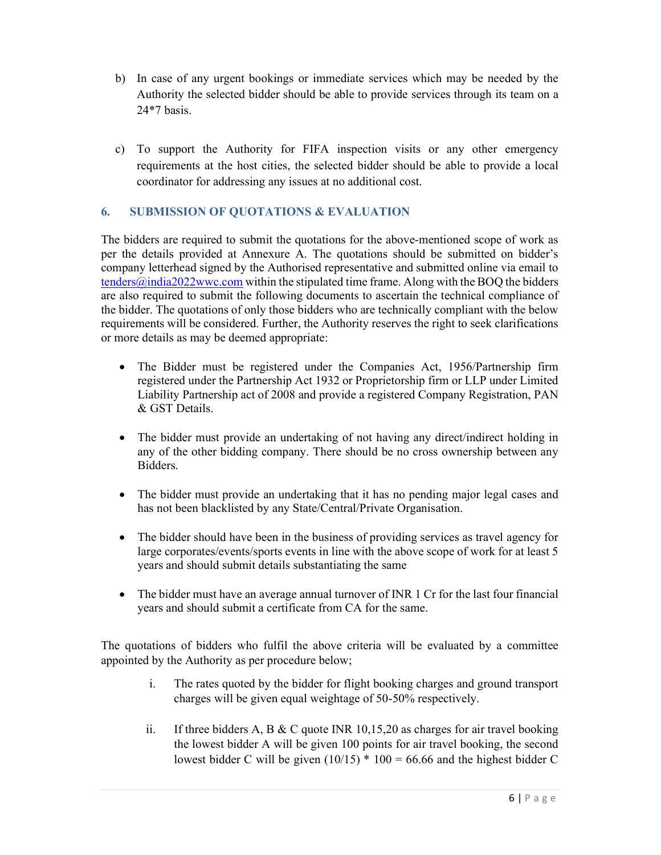- b) In case of any urgent bookings or immediate services which may be needed by the Authority the selected bidder should be able to provide services through its team on a 24\*7 basis.
- c) To support the Authority for FIFA inspection visits or any other emergency requirements at the host cities, the selected bidder should be able to provide a local coordinator for addressing any issues at no additional cost.

## 6. SUBMISSION OF QUOTATIONS & EVALUATION

The bidders are required to submit the quotations for the above-mentioned scope of work as per the details provided at Annexure A. The quotations should be submitted on bidder's company letterhead signed by the Authorised representative and submitted online via email to  $t$ enders@india2022wwc.com within the stipulated time frame. Along with the BOQ the bidders are also required to submit the following documents to ascertain the technical compliance of the bidder. The quotations of only those bidders who are technically compliant with the below requirements will be considered. Further, the Authority reserves the right to seek clarifications or more details as may be deemed appropriate:

- The Bidder must be registered under the Companies Act, 1956/Partnership firm registered under the Partnership Act 1932 or Proprietorship firm or LLP under Limited Liability Partnership act of 2008 and provide a registered Company Registration, PAN & GST Details.
- The bidder must provide an undertaking of not having any direct/indirect holding in any of the other bidding company. There should be no cross ownership between any Bidders.
- The bidder must provide an undertaking that it has no pending major legal cases and has not been blacklisted by any State/Central/Private Organisation.
- The bidder should have been in the business of providing services as travel agency for large corporates/events/sports events in line with the above scope of work for at least 5 years and should submit details substantiating the same
- The bidder must have an average annual turnover of INR 1 Cr for the last four financial years and should submit a certificate from CA for the same.

The quotations of bidders who fulfil the above criteria will be evaluated by a committee appointed by the Authority as per procedure below;

- i. The rates quoted by the bidder for flight booking charges and ground transport charges will be given equal weightage of 50-50% respectively.
- ii. If three bidders A, B & C quote INR 10,15,20 as charges for air travel booking the lowest bidder A will be given 100 points for air travel booking, the second lowest bidder C will be given  $(10/15) * 100 = 66.66$  and the highest bidder C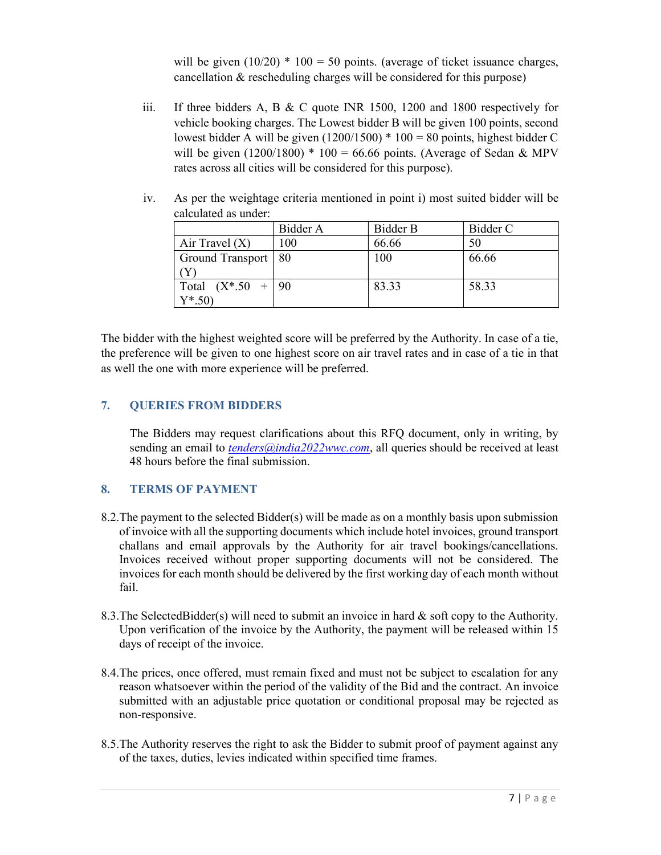will be given  $(10/20) * 100 = 50$  points. (average of ticket issuance charges, cancellation & rescheduling charges will be considered for this purpose)

iii. If three bidders A, B & C quote INR 1500, 1200 and 1800 respectively for vehicle booking charges. The Lowest bidder B will be given 100 points, second lowest bidder A will be given  $(1200/1500) * 100 = 80$  points, highest bidder C will be given  $(1200/1800) * 100 = 66.66$  points. (Average of Sedan & MPV rates across all cities will be considered for this purpose).

|                          | Bidder A | Bidder B | Bidder C |
|--------------------------|----------|----------|----------|
| Air Travel $(X)$         | 100      | 66.66    | 50       |
| Ground Transport   80    |          | 100      | 66.66    |
|                          |          |          |          |
| Total $(X^* . 50 +   90$ |          | 83.33    | 58.33    |
| $Y^*$ .50)               |          |          |          |

iv. As per the weightage criteria mentioned in point i) most suited bidder will be calculated as under:

The bidder with the highest weighted score will be preferred by the Authority. In case of a tie, the preference will be given to one highest score on air travel rates and in case of a tie in that as well the one with more experience will be preferred.

## 7. QUERIES FROM BIDDERS

The Bidders may request clarifications about this RFQ document, only in writing, by sending an email to  $tenders@india2022wwc.com$ , all queries should be received at least 48 hours before the final submission.

## 8. TERMS OF PAYMENT

- 8.2.The payment to the selected Bidder(s) will be made as on a monthly basis upon submission of invoice with all the supporting documents which include hotel invoices, ground transport challans and email approvals by the Authority for air travel bookings/cancellations. Invoices received without proper supporting documents will not be considered. The invoices for each month should be delivered by the first working day of each month without fail.
- 8.3. The SelectedBidder(s) will need to submit an invoice in hard  $\&$  soft copy to the Authority. Upon verification of the invoice by the Authority, the payment will be released within 15 days of receipt of the invoice.
- 8.4.The prices, once offered, must remain fixed and must not be subject to escalation for any reason whatsoever within the period of the validity of the Bid and the contract. An invoice submitted with an adjustable price quotation or conditional proposal may be rejected as non-responsive.
- 8.5.The Authority reserves the right to ask the Bidder to submit proof of payment against any of the taxes, duties, levies indicated within specified time frames.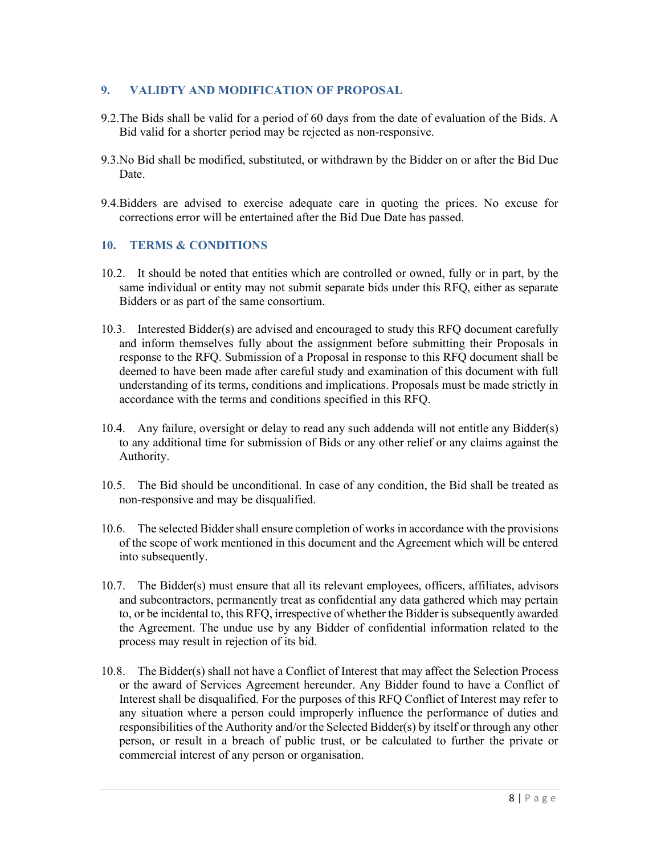## 9. VALIDTY AND MODIFICATION OF PROPOSAL

- 9.2.The Bids shall be valid for a period of 60 days from the date of evaluation of the Bids. A Bid valid for a shorter period may be rejected as non-responsive.
- 9.3.No Bid shall be modified, substituted, or withdrawn by the Bidder on or after the Bid Due Date.
- 9.4.Bidders are advised to exercise adequate care in quoting the prices. No excuse for corrections error will be entertained after the Bid Due Date has passed.

### 10. TERMS & CONDITIONS

- 10.2. It should be noted that entities which are controlled or owned, fully or in part, by the same individual or entity may not submit separate bids under this RFQ, either as separate Bidders or as part of the same consortium.
- 10.3. Interested Bidder(s) are advised and encouraged to study this RFQ document carefully and inform themselves fully about the assignment before submitting their Proposals in response to the RFQ. Submission of a Proposal in response to this RFQ document shall be deemed to have been made after careful study and examination of this document with full understanding of its terms, conditions and implications. Proposals must be made strictly in accordance with the terms and conditions specified in this RFQ.
- 10.4. Any failure, oversight or delay to read any such addenda will not entitle any Bidder(s) to any additional time for submission of Bids or any other relief or any claims against the Authority.
- 10.5. The Bid should be unconditional. In case of any condition, the Bid shall be treated as non-responsive and may be disqualified.
- 10.6. The selected Bidder shall ensure completion of works in accordance with the provisions of the scope of work mentioned in this document and the Agreement which will be entered into subsequently.
- 10.7. The Bidder(s) must ensure that all its relevant employees, officers, affiliates, advisors and subcontractors, permanently treat as confidential any data gathered which may pertain to, or be incidental to, this RFQ, irrespective of whether the Bidder is subsequently awarded the Agreement. The undue use by any Bidder of confidential information related to the process may result in rejection of its bid.
- 10.8. The Bidder(s) shall not have a Conflict of Interest that may affect the Selection Process or the award of Services Agreement hereunder. Any Bidder found to have a Conflict of Interest shall be disqualified. For the purposes of this RFQ Conflict of Interest may refer to any situation where a person could improperly influence the performance of duties and responsibilities of the Authority and/or the Selected Bidder(s) by itself or through any other person, or result in a breach of public trust, or be calculated to further the private or commercial interest of any person or organisation.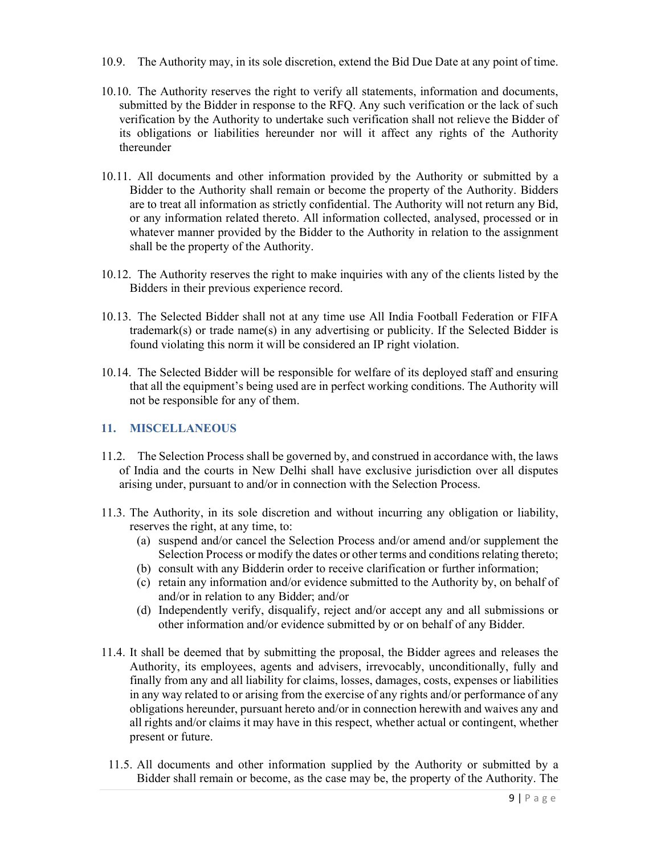- 10.9. The Authority may, in its sole discretion, extend the Bid Due Date at any point of time.
- 10.10. The Authority reserves the right to verify all statements, information and documents, submitted by the Bidder in response to the RFQ. Any such verification or the lack of such verification by the Authority to undertake such verification shall not relieve the Bidder of its obligations or liabilities hereunder nor will it affect any rights of the Authority thereunder
- 10.11. All documents and other information provided by the Authority or submitted by a Bidder to the Authority shall remain or become the property of the Authority. Bidders are to treat all information as strictly confidential. The Authority will not return any Bid, or any information related thereto. All information collected, analysed, processed or in whatever manner provided by the Bidder to the Authority in relation to the assignment shall be the property of the Authority.
- 10.12. The Authority reserves the right to make inquiries with any of the clients listed by the Bidders in their previous experience record.
- 10.13. The Selected Bidder shall not at any time use All India Football Federation or FIFA trademark(s) or trade name(s) in any advertising or publicity. If the Selected Bidder is found violating this norm it will be considered an IP right violation.
- 10.14. The Selected Bidder will be responsible for welfare of its deployed staff and ensuring that all the equipment's being used are in perfect working conditions. The Authority will not be responsible for any of them.

## 11. MISCELLANEOUS

- 11.2. The Selection Process shall be governed by, and construed in accordance with, the laws of India and the courts in New Delhi shall have exclusive jurisdiction over all disputes arising under, pursuant to and/or in connection with the Selection Process.
- 11.3. The Authority, in its sole discretion and without incurring any obligation or liability, reserves the right, at any time, to:
	- (a) suspend and/or cancel the Selection Process and/or amend and/or supplement the Selection Process or modify the dates or other terms and conditions relating thereto;
	- (b) consult with any Bidderin order to receive clarification or further information;
	- (c) retain any information and/or evidence submitted to the Authority by, on behalf of and/or in relation to any Bidder; and/or
	- (d) Independently verify, disqualify, reject and/or accept any and all submissions or other information and/or evidence submitted by or on behalf of any Bidder.
- 11.4. It shall be deemed that by submitting the proposal, the Bidder agrees and releases the Authority, its employees, agents and advisers, irrevocably, unconditionally, fully and finally from any and all liability for claims, losses, damages, costs, expenses or liabilities in any way related to or arising from the exercise of any rights and/or performance of any obligations hereunder, pursuant hereto and/or in connection herewith and waives any and all rights and/or claims it may have in this respect, whether actual or contingent, whether present or future.
- 11.5. All documents and other information supplied by the Authority or submitted by a Bidder shall remain or become, as the case may be, the property of the Authority. The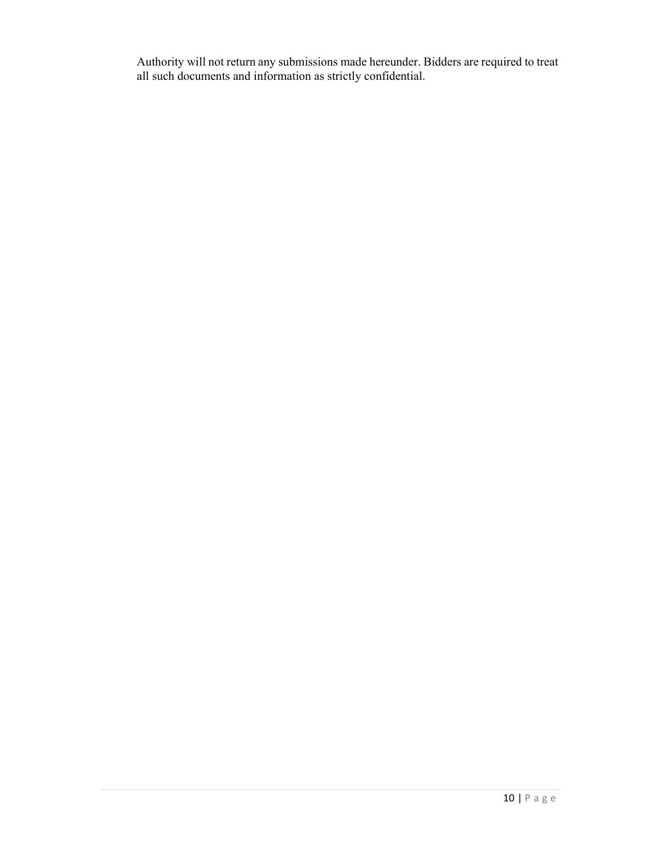Authority will not return any submissions made hereunder. Bidders are required to treat all such documents and information as strictly confidential.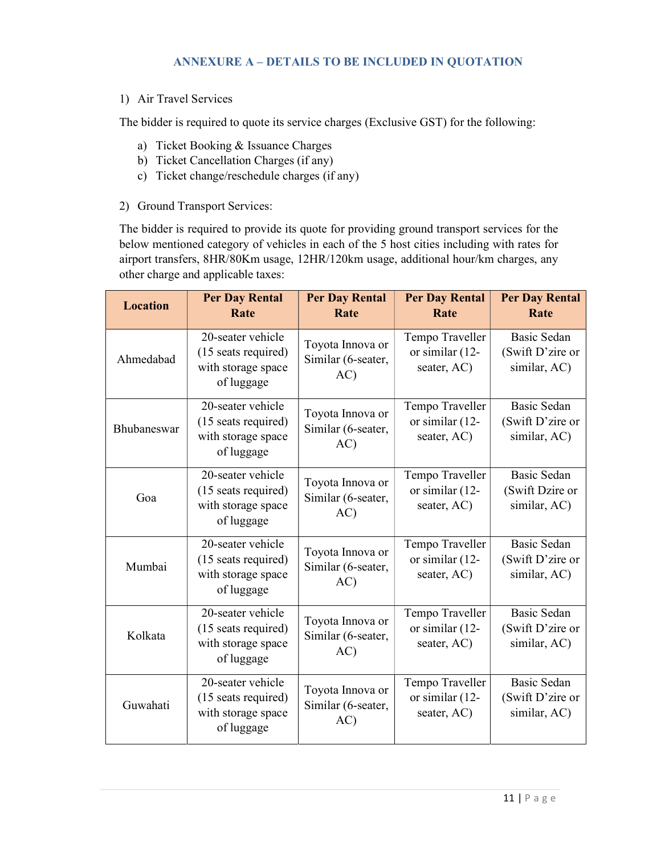# ANNEXURE A – DETAILS TO BE INCLUDED IN QUOTATION

1) Air Travel Services

The bidder is required to quote its service charges (Exclusive GST) for the following:

- a) Ticket Booking & Issuance Charges
- b) Ticket Cancellation Charges (if any)
- c) Ticket change/reschedule charges (if any)
- 2) Ground Transport Services:

The bidder is required to provide its quote for providing ground transport services for the below mentioned category of vehicles in each of the 5 host cities including with rates for airport transfers, 8HR/80Km usage, 12HR/120km usage, additional hour/km charges, any other charge and applicable taxes:

| <b>Location</b> | <b>Per Day Rental</b><br>Rate                                                | <b>Per Day Rental</b><br>Rate                 | <b>Per Day Rental</b><br>Rate                     | <b>Per Day Rental</b><br>Rate                          |
|-----------------|------------------------------------------------------------------------------|-----------------------------------------------|---------------------------------------------------|--------------------------------------------------------|
| Ahmedabad       | 20-seater vehicle<br>(15 seats required)<br>with storage space<br>of luggage | Toyota Innova or<br>Similar (6-seater,<br>AC) | Tempo Traveller<br>or similar (12-<br>seater, AC) | <b>Basic Sedan</b><br>(Swift D'zire or<br>similar, AC) |
| Bhubaneswar     | 20-seater vehicle<br>(15 seats required)<br>with storage space<br>of luggage | Toyota Innova or<br>Similar (6-seater,<br>AC) | Tempo Traveller<br>or similar (12-<br>seater, AC) | Basic Sedan<br>(Swift D'zire or<br>similar, AC)        |
| Goa             | 20-seater vehicle<br>(15 seats required)<br>with storage space<br>of luggage | Toyota Innova or<br>Similar (6-seater,<br>AC) | Tempo Traveller<br>or similar (12-<br>seater, AC) | <b>Basic Sedan</b><br>(Swift Dzire or<br>similar, AC)  |
| Mumbai          | 20-seater vehicle<br>(15 seats required)<br>with storage space<br>of luggage | Toyota Innova or<br>Similar (6-seater,<br>AC) | Tempo Traveller<br>or similar (12-<br>seater, AC) | <b>Basic Sedan</b><br>(Swift D'zire or<br>similar, AC) |
| Kolkata         | 20-seater vehicle<br>(15 seats required)<br>with storage space<br>of luggage | Toyota Innova or<br>Similar (6-seater,<br>AC) | Tempo Traveller<br>or similar (12-<br>seater, AC) | <b>Basic Sedan</b><br>(Swift D'zire or<br>similar, AC) |
| Guwahati        | 20-seater vehicle<br>(15 seats required)<br>with storage space<br>of luggage | Toyota Innova or<br>Similar (6-seater,<br>AC) | Tempo Traveller<br>or similar (12-<br>seater, AC) | <b>Basic Sedan</b><br>(Swift D'zire or<br>similar, AC) |